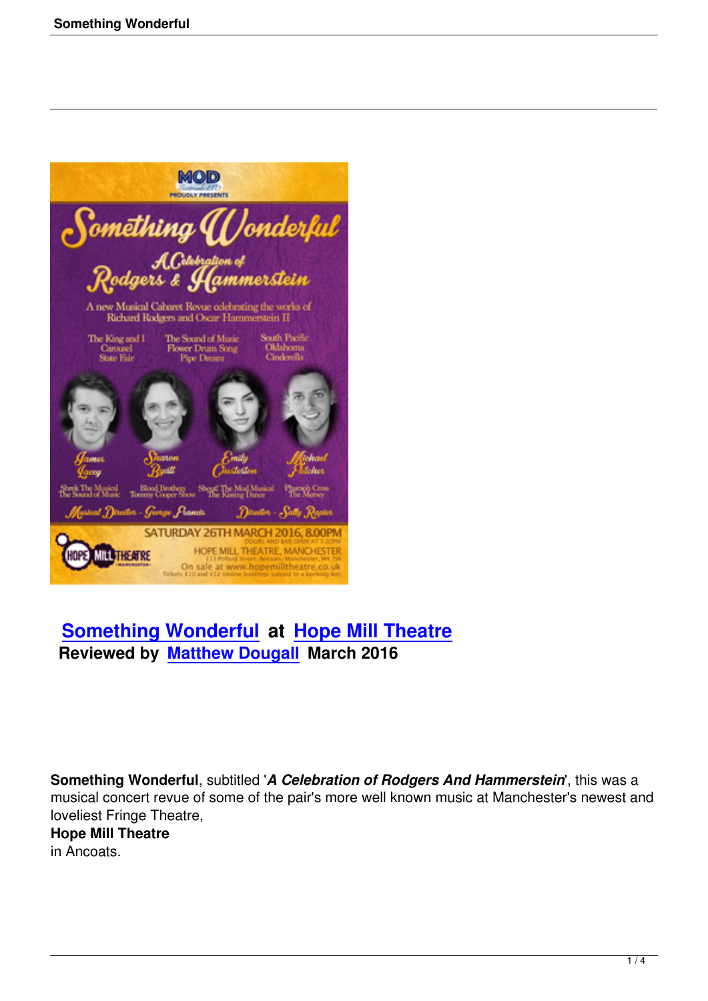

# **Something Wonderful at Hope Mill Theatre Reviewed by Matthew Dougall March 2016**

**Something Wonderful**, subtitled '*A Celebration of Rodgers And Hammerstein*', this was a musical concert revue of some of the pair's more well known music at Manchester's newest and loveliest Fringe Theatre,

# **Hope Mill Theatre**

in Ancoats.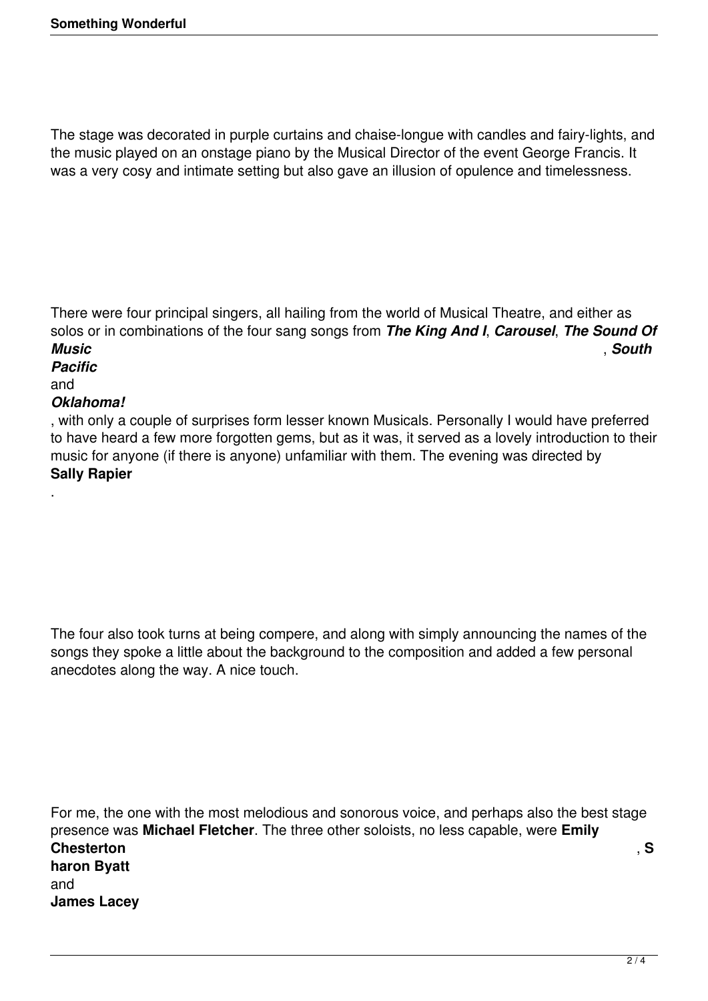The stage was decorated in purple curtains and chaise-longue with candles and fairy-lights, and the music played on an onstage piano by the Musical Director of the event George Francis. It was a very cosy and intimate setting but also gave an illusion of opulence and timelessness.

There were four principal singers, all hailing from the world of Musical Theatre, and either as solos or in combinations of the four sang songs from *The King And I*, *Carousel*, *The Sound Of Music* , *South*

## *Pacific*

and

.

#### *Oklahoma!*

, with only a couple of surprises form lesser known Musicals. Personally I would have preferred to have heard a few more forgotten gems, but as it was, it served as a lovely introduction to their music for anyone (if there is anyone) unfamiliar with them. The evening was directed by **Sally Rapier**

The four also took turns at being compere, and along with simply announcing the names of the songs they spoke a little about the background to the composition and added a few personal anecdotes along the way. A nice touch.

For me, the one with the most melodious and sonorous voice, and perhaps also the best stage presence was **Michael Fletcher**. The three other soloists, no less capable, were **Emily Chesterton** , **S haron Byatt** and **James Lacey**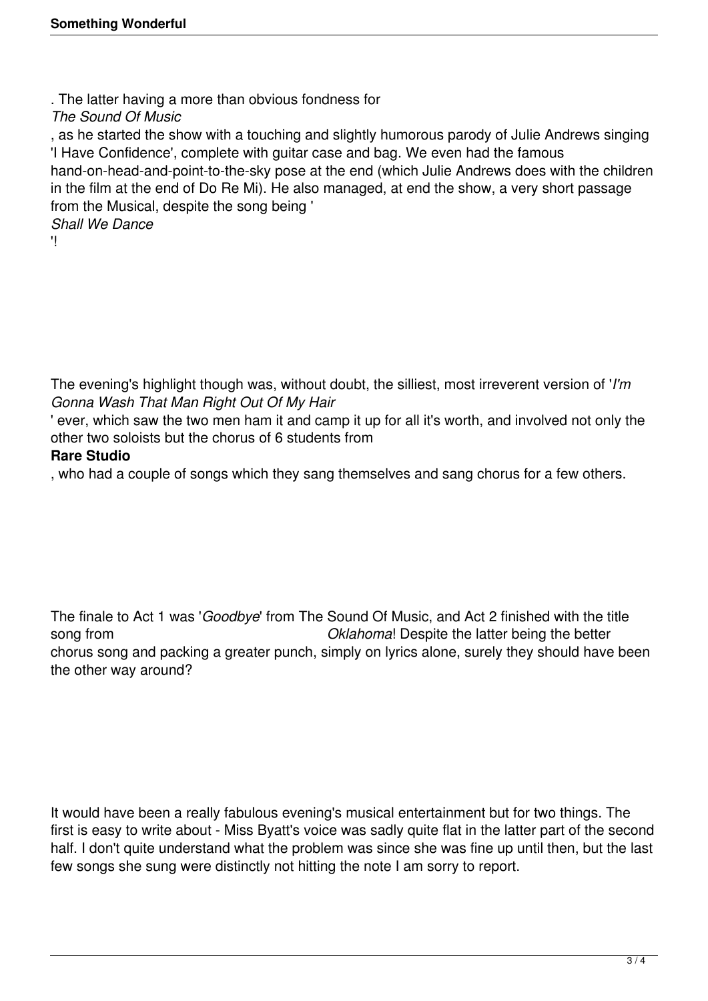. The latter having a more than obvious fondness for

*The Sound Of Music*

, as he started the show with a touching and slightly humorous parody of Julie Andrews singing 'I Have Confidence', complete with guitar case and bag. We even had the famous hand-on-head-and-point-to-the-sky pose at the end (which Julie Andrews does with the children in the film at the end of Do Re Mi). He also managed, at end the show, a very short passage from the Musical, despite the song being '

*Shall We Dance*

'!

The evening's highlight though was, without doubt, the silliest, most irreverent version of '*I'm Gonna Wash That Man Right Out Of My Hair*

' ever, which saw the two men ham it and camp it up for all it's worth, and involved not only the other two soloists but the chorus of 6 students from

### **Rare Studio**

, who had a couple of songs which they sang themselves and sang chorus for a few others.

The finale to Act 1 was '*Goodbye*' from The Sound Of Music, and Act 2 finished with the title song from *Oklahoma* Despite the latter being the better chorus song and packing a greater punch, simply on lyrics alone, surely they should have been the other way around?

It would have been a really fabulous evening's musical entertainment but for two things. The first is easy to write about - Miss Byatt's voice was sadly quite flat in the latter part of the second half. I don't quite understand what the problem was since she was fine up until then, but the last few songs she sung were distinctly not hitting the note I am sorry to report.